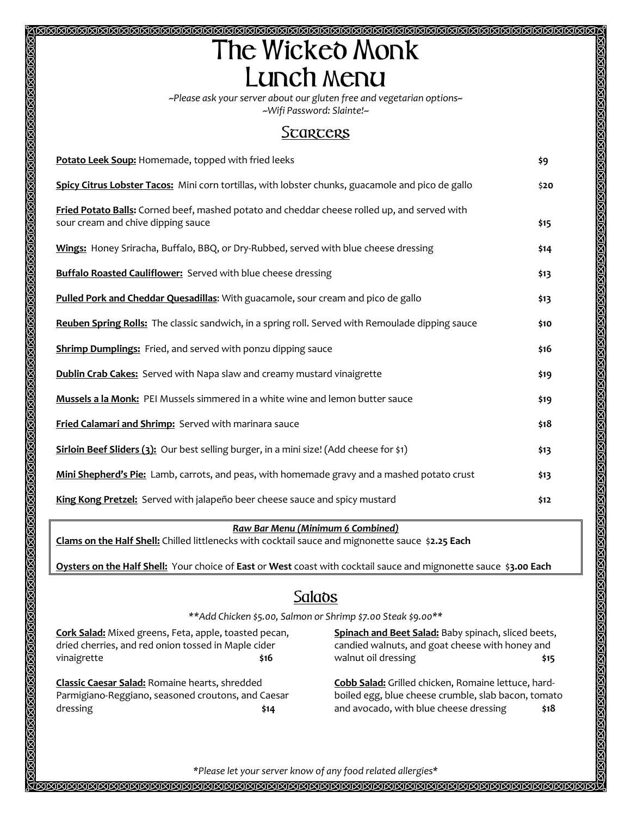## <u> 1920 RRARRARRARRARRARRARRARRARRARRARRAR</u> T**he** W**icked** M**onk** L**unch** m**enu**

*~Please ask your server about our gluten free and vegetarian options~ ~Wifi Password: Slainte!~*

## S**tarters**

| Potato Leek Soup: Homemade, topped with fried leeks                                                                                | \$9  |
|------------------------------------------------------------------------------------------------------------------------------------|------|
| Spicy Citrus Lobster Tacos: Mini corn tortillas, with lobster chunks, guacamole and pico de gallo                                  | \$20 |
| Fried Potato Balls: Corned beef, mashed potato and cheddar cheese rolled up, and served with<br>sour cream and chive dipping sauce | \$15 |
| Wings: Honey Sriracha, Buffalo, BBQ, or Dry-Rubbed, served with blue cheese dressing                                               | \$14 |
| <b>Buffalo Roasted Cauliflower:</b> Served with blue cheese dressing                                                               | \$13 |
| Pulled Pork and Cheddar Quesadillas: With guacamole, sour cream and pico de gallo                                                  | \$13 |
| Reuben Spring Rolls: The classic sandwich, in a spring roll. Served with Remoulade dipping sauce                                   | \$10 |
| <b>Shrimp Dumplings:</b> Fried, and served with ponzu dipping sauce                                                                | \$16 |
| <b>Dublin Crab Cakes:</b> Served with Napa slaw and creamy mustard vinaigrette                                                     | \$19 |
| Mussels a la Monk: PEI Mussels simmered in a white wine and lemon butter sauce                                                     | \$19 |
| Fried Calamari and Shrimp: Served with marinara sauce                                                                              | \$18 |
| Sirloin Beef Sliders (3): Our best selling burger, in a mini size! (Add cheese for \$1)                                            | \$13 |
| Mini Shepherd's Pie: Lamb, carrots, and peas, with homemade gravy and a mashed potato crust                                        | \$13 |
| King Kong Pretzel: Served with jalapeño beer cheese sauce and spicy mustard                                                        | \$12 |

## *Raw Bar Menu (Minimum 6 Combined)*

**Clams on the Half Shell:** Chilled littlenecks with cocktail sauce and mignonette sauce \$**2.25 Each**

**Oysters on the Half Shell:** Your choice of **East** or **West** coast with cocktail sauce and mignonette sauce \$**3.00 Each**

## S**alads**

*\*\*Add Chicken \$5.00, Salmon or Shrimp \$7.00 Steak \$9.00\*\**

**Cork Salad:** Mixed greens, Feta, apple, toasted pecan, dried cherries, and red onion tossed in Maple cider vinaigrette **\$16** 

**Classic Caesar Salad:** Romaine hearts, shredded Parmigiano-Reggiano, seasoned croutons, and Caesar dressing **\$14**

**Spinach and Beet Salad:** Baby spinach, sliced beets, candied walnuts, and goat cheese with honey and walnut oil dressing **\$15** 

**Cobb Salad:** Grilled chicken, Romaine lettuce, hardboiled egg, blue cheese crumble, slab bacon, tomato and avocado, with blue cheese dressing **\$18**

*\*Please let your server know of any food related allergies\**